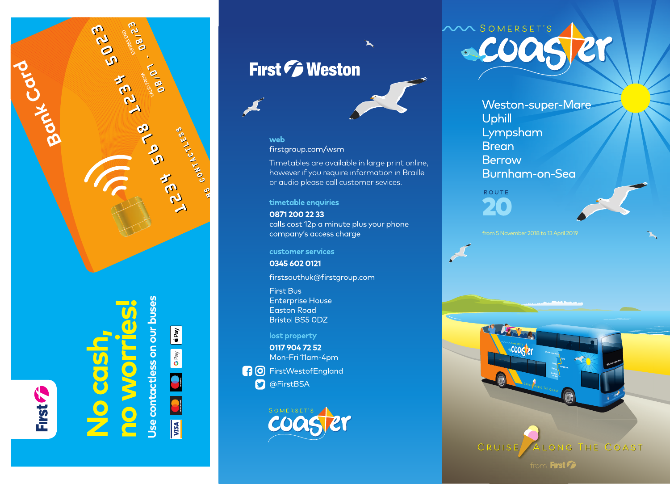

Bonk Col

Jse contactless on our buses

**E2180** 

**1234** 

10180

CONTO CO

SPITTS CONTACTLESS

RCI

**ROCE** 

 $\boxed{\bullet \text{ Pay}}$ G Pay  $\bullet$  $\overline{\bullet}$ **SA** 

### First *F* Weston



#### web

firstgroup.com/wsm

Timetables are available in large print online, however if you require information in Braille or audio please call customer sevices.

 $\blacktriangleright$ 

timetable enquiries

0871 200 22 33 calls cost 12p a minute plus your phone company's access charge

customer services

0345 602 0121

firstsouthuk@firstgroup.com

First Bus **Enterprise House** Easton Road **Bristol BS5 ODZ** 

#### lost property

0117 904 72 52 Mon-Fri 11am-4pm

**10** FirstWestofEngland **D** @FirstBSA



## VA SOMERSET'S COOC

Weston-super-Mare Uphill Lympsham **Brean Berrow** Burnham-on-Sea

ROUTE 20

from 5 November 2018 to 13 April 2019



LONG THE COAST

from First Fig.

**CUDST21** 

CRUISE